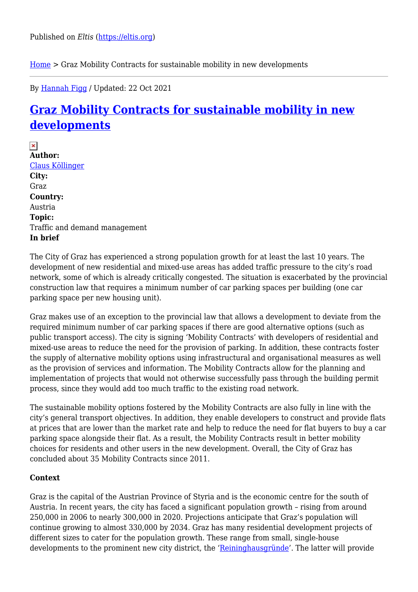[Home](https://eltis.org/) > Graz Mobility Contracts for sustainable mobility in new developments

By [Hannah Figg](https://eltis.org/users/hannah-figg) / Updated: 22 Oct 2021

# **[Graz Mobility Contracts for sustainable mobility in new](https://eltis.org/resources/case-studies/graz-mobility-contracts-sustainable-mobility-new-developments) [developments](https://eltis.org/resources/case-studies/graz-mobility-contracts-sustainable-mobility-new-developments)**

 $\pmb{\times}$ **Author:**  [Claus Köllinger](https://eltis.org/users/claus-kollinger) **City:**  Graz **Country:**  Austria **Topic:**  Traffic and demand management **In brief** 

The City of Graz has experienced a strong population growth for at least the last 10 years. The development of new residential and mixed-use areas has added traffic pressure to the city's road network, some of which is already critically congested. The situation is exacerbated by the provincial construction law that requires a minimum number of car parking spaces per building (one car parking space per new housing unit).

Graz makes use of an exception to the provincial law that allows a development to deviate from the required minimum number of car parking spaces if there are good alternative options (such as public transport access). The city is signing 'Mobility Contracts' with developers of residential and mixed-use areas to reduce the need for the provision of parking. In addition, these contracts foster the supply of alternative mobility options using infrastructural and organisational measures as well as the provision of services and information. The Mobility Contracts allow for the planning and implementation of projects that would not otherwise successfully pass through the building permit process, since they would add too much traffic to the existing road network.

The sustainable mobility options fostered by the Mobility Contracts are also fully in line with the city's general transport objectives. In addition, they enable developers to construct and provide flats at prices that are lower than the market rate and help to reduce the need for flat buyers to buy a car parking space alongside their flat. As a result, the Mobility Contracts result in better mobility choices for residents and other users in the new development. Overall, the City of Graz has concluded about 35 Mobility Contracts since 2011.

### **Context**

Graz is the capital of the Austrian Province of Styria and is the economic centre for the south of Austria. In recent years, the city has faced a significant population growth – rising from around 250,000 in 2006 to nearly 300,000 in 2020. Projections anticipate that Graz's population will continue growing to almost 330,000 by 2034. Graz has many residential development projects of different sizes to cater for the population growth. These range from small, single-house developments to the prominent new city district, the ['Reininghausgründe'](https://reininghausgründe.at/). The latter will provide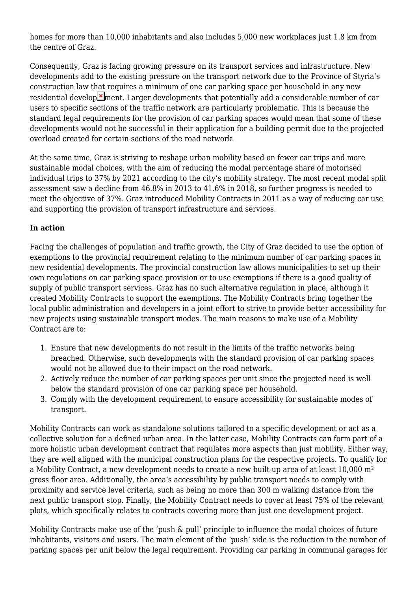homes for more than 10,000 inhabitants and also includes 5,000 new workplaces just 1.8 km from the centre of Graz.

Consequently, Graz is facing growing pressure on its transport services and infrastructure. New developments add to the existing pressure on the transport network due to the Province of Styria's construction law that requires a minimum of one car parking space per household in any new residential develop  $\geq$  ment. Larger developments that potentially add a considerable number of car users to specific sections of the traffic network are particularly problematic. This is because the standard legal requirements for the provision of car parking spaces would mean that some of these developments would not be successful in their application for a building permit due to the projected overload created for certain sections of the road network.

At the same time, Graz is striving to reshape urban mobility based on fewer car trips and more sustainable modal choices, with the aim of reducing the modal percentage share of motorised individual trips to 37% by 2021 according to the city's mobility strategy. The most recent modal split assessment saw a decline from 46.8% in 2013 to 41.6% in 2018, so further progress is needed to meet the objective of 37%. Graz introduced Mobility Contracts in 2011 as a way of reducing car use and supporting the provision of transport infrastructure and services.

## **In action**

Facing the challenges of population and traffic growth, the City of Graz decided to use the option of exemptions to the provincial requirement relating to the minimum number of car parking spaces in new residential developments. The provincial construction law allows municipalities to set up their own regulations on car parking space provision or to use exemptions if there is a good quality of supply of public transport services. Graz has no such alternative regulation in place, although it created Mobility Contracts to support the exemptions. The Mobility Contracts bring together the local public administration and developers in a joint effort to strive to provide better accessibility for new projects using sustainable transport modes. The main reasons to make use of a Mobility Contract are to:

- 1. Ensure that new developments do not result in the limits of the traffic networks being breached. Otherwise, such developments with the standard provision of car parking spaces would not be allowed due to their impact on the road network.
- 2. Actively reduce the number of car parking spaces per unit since the projected need is well below the standard provision of one car parking space per household.
- 3. Comply with the development requirement to ensure accessibility for sustainable modes of transport.

Mobility Contracts can work as standalone solutions tailored to a specific development or act as a collective solution for a defined urban area. In the latter case, Mobility Contracts can form part of a more holistic urban development contract that regulates more aspects than just mobility. Either way, they are well aligned with the municipal construction plans for the respective projects. To qualify for a Mobility Contract, a new development needs to create a new built-up area of at least 10,000 m² gross floor area. Additionally, the area's accessibility by public transport needs to comply with proximity and service level criteria, such as being no more than 300 m walking distance from the next public transport stop. Finally, the Mobility Contract needs to cover at least 75% of the relevant plots, which specifically relates to contracts covering more than just one development project.

Mobility Contracts make use of the 'push & pull' principle to influence the modal choices of future inhabitants, visitors and users. The main element of the 'push' side is the reduction in the number of parking spaces per unit below the legal requirement. Providing car parking in communal garages for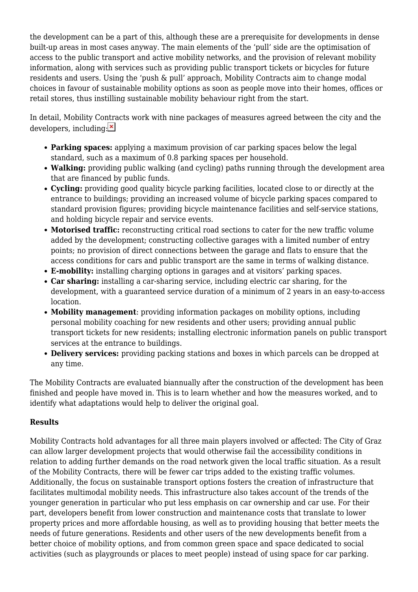the development can be a part of this, although these are a prerequisite for developments in dense built-up areas in most cases anyway. The main elements of the 'pull' side are the optimisation of access to the public transport and active mobility networks, and the provision of relevant mobility information, along with services such as providing public transport tickets or bicycles for future residents and users. Using the 'push & pull' approach, Mobility Contracts aim to change modal choices in favour of sustainable mobility options as soon as people move into their homes, offices or retail stores, thus instilling sustainable mobility behaviour right from the start.

In detail, Mobility Contracts work with nine packages of measures agreed between the city and the developers, including:  $\ge$ 

- **Parking spaces:** applying a maximum provision of car parking spaces below the legal standard, such as a maximum of 0.8 parking spaces per household.
- **Walking:** providing public walking (and cycling) paths running through the development area that are financed by public funds.
- **Cycling:** providing good quality bicycle parking facilities, located close to or directly at the entrance to buildings; providing an increased volume of bicycle parking spaces compared to standard provision figures; providing bicycle maintenance facilities and self-service stations, and holding bicycle repair and service events.
- **Motorised traffic:** reconstructing critical road sections to cater for the new traffic volume added by the development; constructing collective garages with a limited number of entry points; no provision of direct connections between the garage and flats to ensure that the access conditions for cars and public transport are the same in terms of walking distance.
- **E-mobility:** installing charging options in garages and at visitors' parking spaces.
- **Car sharing:** installing a car-sharing service, including electric car sharing, for the development, with a guaranteed service duration of a minimum of 2 years in an easy-to-access location.
- **Mobility management**: providing information packages on mobility options, including personal mobility coaching for new residents and other users; providing annual public transport tickets for new residents; installing electronic information panels on public transport services at the entrance to buildings.
- **Delivery services:** providing packing stations and boxes in which parcels can be dropped at any time.

The Mobility Contracts are evaluated biannually after the construction of the development has been finished and people have moved in. This is to learn whether and how the measures worked, and to identify what adaptations would help to deliver the original goal.

## **Results**

Mobility Contracts hold advantages for all three main players involved or affected: The City of Graz can allow larger development projects that would otherwise fail the accessibility conditions in relation to adding further demands on the road network given the local traffic situation. As a result of the Mobility Contracts, there will be fewer car trips added to the existing traffic volumes. Additionally, the focus on sustainable transport options fosters the creation of infrastructure that facilitates multimodal mobility needs. This infrastructure also takes account of the trends of the younger generation in particular who put less emphasis on car ownership and car use. For their part, developers benefit from lower construction and maintenance costs that translate to lower property prices and more affordable housing, as well as to providing housing that better meets the needs of future generations. Residents and other users of the new developments benefit from a better choice of mobility options, and from common green space and space dedicated to social activities (such as playgrounds or places to meet people) instead of using space for car parking.